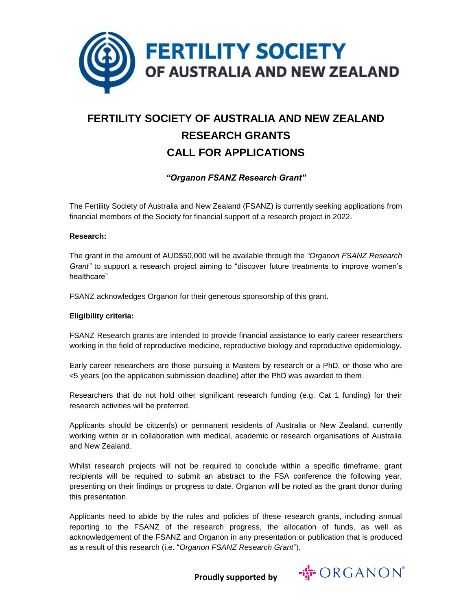

# **FERTILITY SOCIETY OF AUSTRALIA AND NEW ZEALAND RESEARCH GRANTS CALL FOR APPLICATIONS**

### *"Organon FSANZ Research Grant"*

The Fertility Society of Australia and New Zealand (FSANZ) is currently seeking applications from financial members of the Society for financial support of a research project in 2022.

#### **Research:**

The grant in the amount of AUD\$50,000 will be available through the *"Organon FSANZ Research Grant"* to support a research project aiming to "discover future treatments to improve women's healthcare"

FSANZ acknowledges Organon for their generous sponsorship of this grant.

#### **Eligibility criteria:**

FSANZ Research grants are intended to provide financial assistance to early career researchers working in the field of reproductive medicine, reproductive biology and reproductive epidemiology.

Early career researchers are those pursuing a Masters by research or a PhD, or those who are <5 years (on the application submission deadline) after the PhD was awarded to them.

Researchers that do not hold other significant research funding (e.g. Cat 1 funding) for their research activities will be preferred.

Applicants should be citizen(s) or permanent residents of Australia or New Zealand, currently working within or in collaboration with medical, academic or research organisations of Australia and New Zealand.

Whilst research projects will not be required to conclude within a specific timeframe, grant recipients will be required to submit an abstract to the FSA conference the following year, presenting on their findings or progress to date. Organon will be noted as the grant donor during this presentation.

Applicants need to abide by the rules and policies of these research grants, including annual reporting to the FSANZ of the research progress, the allocation of funds, as well as acknowledgement of the FSANZ and Organon in any presentation or publication that is produced as a result of this research (i.e. "*Organon FSANZ Research Grant*").

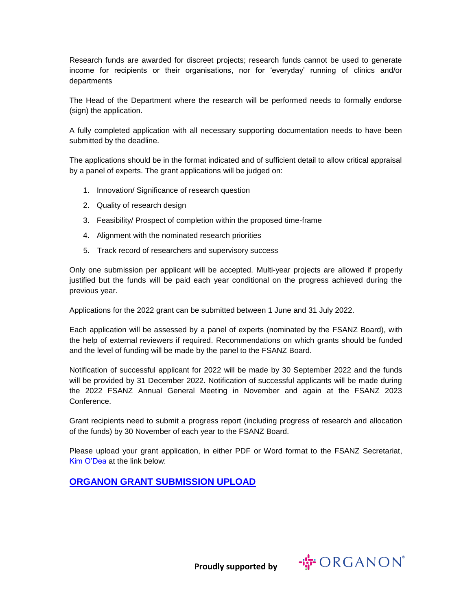Research funds are awarded for discreet projects; research funds cannot be used to generate income for recipients or their organisations, nor for 'everyday' running of clinics and/or departments

The Head of the Department where the research will be performed needs to formally endorse (sign) the application.

A fully completed application with all necessary supporting documentation needs to have been submitted by the deadline.

The applications should be in the format indicated and of sufficient detail to allow critical appraisal by a panel of experts. The grant applications will be judged on:

- 1. Innovation/ Significance of research question
- 2. Quality of research design
- 3. Feasibility/ Prospect of completion within the proposed time-frame
- 4. Alignment with the nominated research priorities
- 5. Track record of researchers and supervisory success

Only one submission per applicant will be accepted. Multi-year projects are allowed if properly justified but the funds will be paid each year conditional on the progress achieved during the previous year.

Applications for the 2022 grant can be submitted between 1 June and 31 July 2022.

Each application will be assessed by a panel of experts (nominated by the FSANZ Board), with the help of external reviewers if required. Recommendations on which grants should be funded and the level of funding will be made by the panel to the FSANZ Board.

Notification of successful applicant for 2022 will be made by 30 September 2022 and the funds will be provided by 31 December 2022. Notification of successful applicants will be made during the 2022 FSANZ Annual General Meeting in November and again at the FSANZ 2023 Conference.

Grant recipients need to submit a progress report (including progress of research and allocation of the funds) by 30 November of each year to the FSANZ Board.

Please upload your grant application, in either PDF or Word format to the FSANZ Secretariat, [Kim O'Dea](mailto:kimo@wsm.com.au) at the link below:

**[ORGANON GRANT SUBMISSION UPLOAD](https://waldronsmith.eventsair.com/fsanzgrants/organon)**

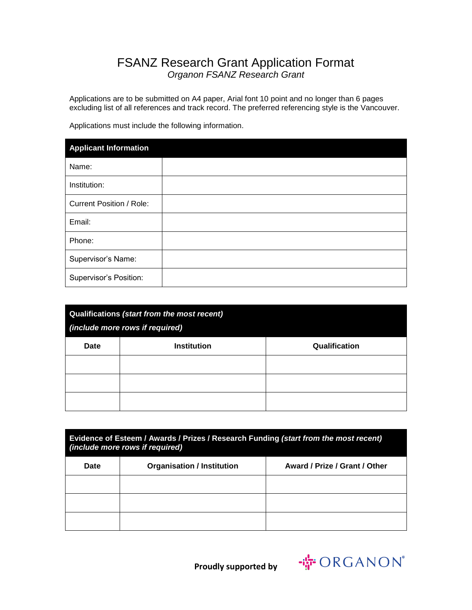## FSANZ Research Grant Application Format *Organon FSANZ Research Grant*

Applications are to be submitted on A4 paper, Arial font 10 point and no longer than 6 pages excluding list of all references and track record. The preferred referencing style is the Vancouver.

Applications must include the following information.

| <b>Applicant Information</b>    |  |
|---------------------------------|--|
| Name:                           |  |
| Institution:                    |  |
| <b>Current Position / Role:</b> |  |
| Email:                          |  |
| Phone:                          |  |
| Supervisor's Name:              |  |
| Supervisor's Position:          |  |

| Qualifications (start from the most recent)<br>(include more rows if required) |                    |               |
|--------------------------------------------------------------------------------|--------------------|---------------|
| <b>Date</b>                                                                    | <b>Institution</b> | Qualification |
|                                                                                |                    |               |
|                                                                                |                    |               |
|                                                                                |                    |               |

| Evidence of Esteem / Awards / Prizes / Research Funding (start from the most recent)<br><i>(include more rows if required)</i> |                                   |                               |
|--------------------------------------------------------------------------------------------------------------------------------|-----------------------------------|-------------------------------|
| <b>Date</b>                                                                                                                    | <b>Organisation / Institution</b> | Award / Prize / Grant / Other |
|                                                                                                                                |                                   |                               |
|                                                                                                                                |                                   |                               |
|                                                                                                                                |                                   |                               |

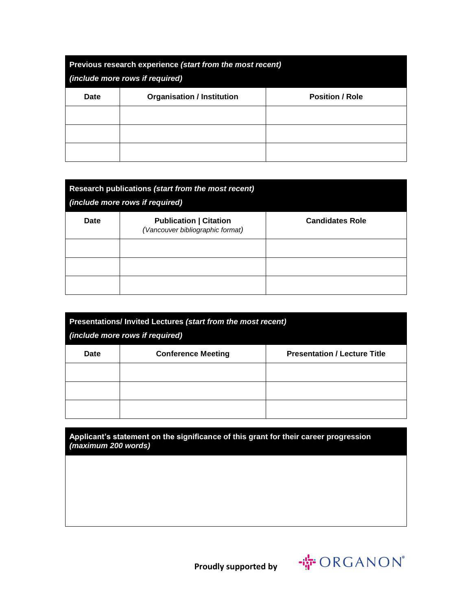| Previous research experience (start from the most recent)<br>(include more rows if required) |                                   |                        |
|----------------------------------------------------------------------------------------------|-----------------------------------|------------------------|
| <b>Date</b>                                                                                  | <b>Organisation / Institution</b> | <b>Position / Role</b> |
|                                                                                              |                                   |                        |
|                                                                                              |                                   |                        |
|                                                                                              |                                   |                        |

| Research publications (start from the most recent)<br><i>(include more rows if required)</i> |                                                                   |                        |
|----------------------------------------------------------------------------------------------|-------------------------------------------------------------------|------------------------|
| Date                                                                                         | <b>Publication   Citation</b><br>(Vancouver bibliographic format) | <b>Candidates Role</b> |
|                                                                                              |                                                                   |                        |
|                                                                                              |                                                                   |                        |
|                                                                                              |                                                                   |                        |

| Presentations/ Invited Lectures (start from the most recent)<br>(include more rows if required) |                           |                                     |
|-------------------------------------------------------------------------------------------------|---------------------------|-------------------------------------|
| <b>Date</b>                                                                                     | <b>Conference Meeting</b> | <b>Presentation / Lecture Title</b> |
|                                                                                                 |                           |                                     |
|                                                                                                 |                           |                                     |
|                                                                                                 |                           |                                     |

**Applicant's statement on the significance of this grant for their career progression**  *(maximum 200 words)*

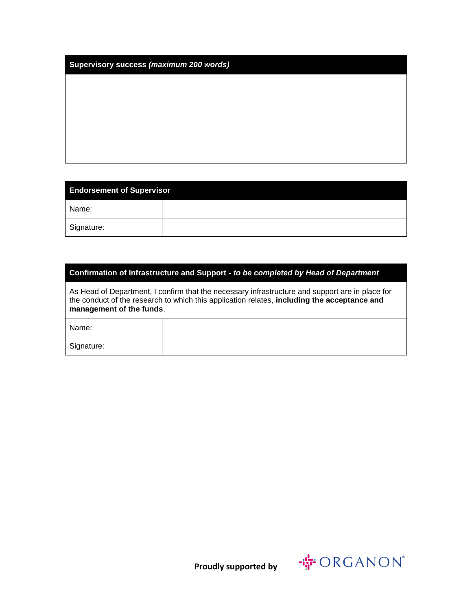| <b>Endorsement of Supervisor</b> |  |
|----------------------------------|--|
| Name:                            |  |
| Signature:                       |  |

#### **Confirmation of Infrastructure and Support -** *to be completed by Head of Department*

As Head of Department, I confirm that the necessary infrastructure and support are in place for the conduct of the research to which this application relates, **including the acceptance and management of the funds**.

| Name:      |  |
|------------|--|
| Signature: |  |